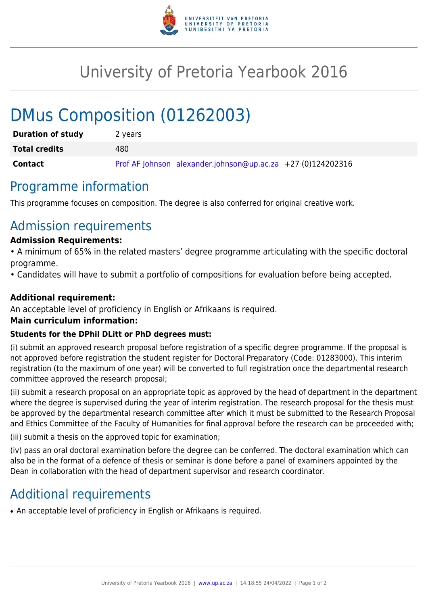

## University of Pretoria Yearbook 2016

# DMus Composition (01262003)

| <b>Duration of study</b> | 2 years                                                       |
|--------------------------|---------------------------------------------------------------|
| <b>Total credits</b>     | 480                                                           |
| Contact                  | Prof AF Johnson alexander.johnson@up.ac.za $+27$ (0)124202316 |

## Programme information

This programme focuses on composition. The degree is also conferred for original creative work.

## Admission requirements

#### **Admission Requirements:**

• A minimum of 65% in the related masters' degree programme articulating with the specific doctoral programme.

• Candidates will have to submit a portfolio of compositions for evaluation before being accepted.

#### **Additional requirement:**

An acceptable level of proficiency in English or Afrikaans is required.

#### **Main curriculum information:**

#### **Students for the DPhil DLitt or PhD degrees must:**

(i) submit an approved research proposal before registration of a specific degree programme. If the proposal is not approved before registration the student register for Doctoral Preparatory (Code: 01283000). This interim registration (to the maximum of one year) will be converted to full registration once the departmental research committee approved the research proposal;

(ii) submit a research proposal on an appropriate topic as approved by the head of department in the department where the degree is supervised during the year of interim registration. The research proposal for the thesis must be approved by the departmental research committee after which it must be submitted to the Research Proposal and Ethics Committee of the Faculty of Humanities for final approval before the research can be proceeded with;

(iii) submit a thesis on the approved topic for examination;

(iv) pass an oral doctoral examination before the degree can be conferred. The doctoral examination which can also be in the format of a defence of thesis or seminar is done before a panel of examiners appointed by the Dean in collaboration with the head of department supervisor and research coordinator.

## Additional requirements

• An acceptable level of proficiency in English or Afrikaans is required.